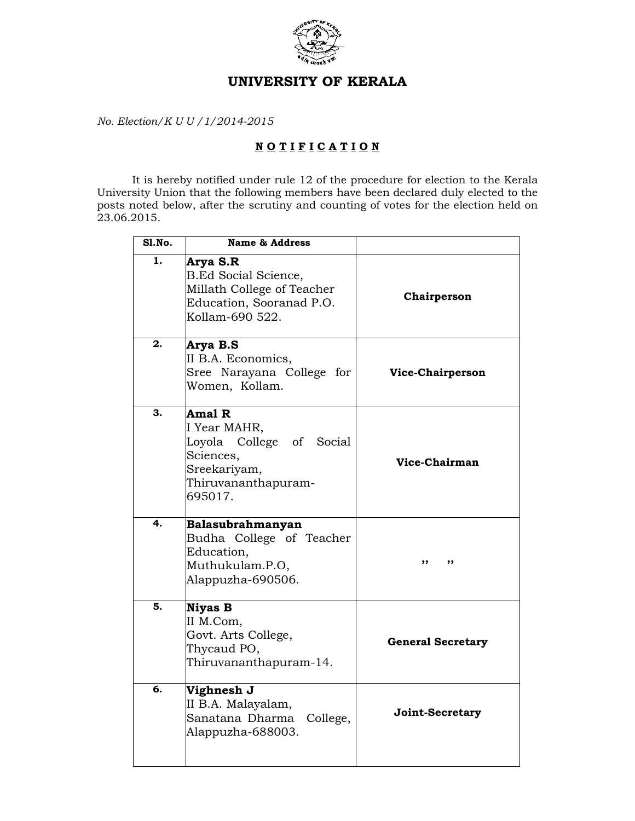

## UNIVERSITY OF KERALA

No. Election/K U U /1/2014-2015

## NOTIFICATION

 It is hereby notified under rule 12 of the procedure for election to the Kerala University Union that the following members have been declared duly elected to the posts noted below, after the scrutiny and counting of votes for the election held on 23.06.2015.

| Sl.No. | <b>Name &amp; Address</b>                                                                                         |                          |
|--------|-------------------------------------------------------------------------------------------------------------------|--------------------------|
| 1.     | Arya S.R<br>B.Ed Social Science,<br>Millath College of Teacher<br>Education, Sooranad P.O.<br>Kollam-690 522.     | Chairperson              |
| 2.     | Arya B.S<br>II B.A. Economics,<br>Sree Narayana College for<br>Women, Kollam.                                     | Vice-Chairperson         |
| 3.     | Amal R<br>I Year MAHR,<br>Loyola College of Social<br>Sciences,<br>Sreekariyam,<br>Thiruvananthapuram-<br>695017. | Vice-Chairman            |
| 4.     | Balasubrahmanyan<br>Budha College of Teacher<br>Education,<br>Muthukulam.P.O,<br>Alappuzha-690506.                | ,,                       |
| 5.     | <b>Niyas B</b><br>II M.Com,<br>Govt. Arts College,<br>Thycaud PO,<br>Thiruvananthapuram-14.                       | <b>General Secretary</b> |
| б.     | Vighnesh J<br>II B.A. Malayalam,<br>Sanatana Dharma<br>College,<br>Alappuzha-688003.                              | Joint-Secretary          |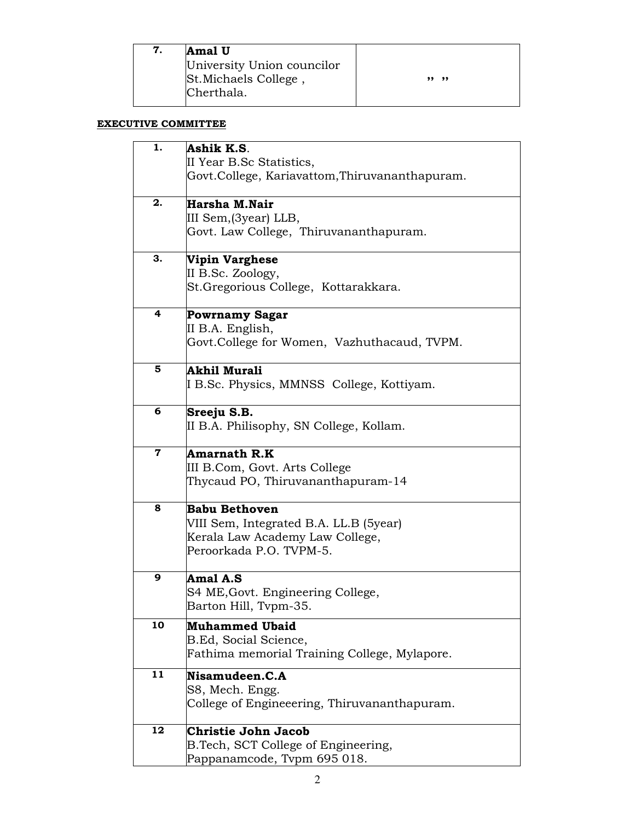| Amal U                     |       |
|----------------------------|-------|
| University Union councilor |       |
| St. Michaels College,      | ,, ,, |
| Cherthala.                 |       |
|                            |       |

## EXECUTIVE COMMITTEE

| 1. | Ashik K.S.                                     |
|----|------------------------------------------------|
|    | II Year B.Sc Statistics,                       |
|    | Govt.College, Kariavattom, Thiruvananthapuram. |
| 2. | Harsha M.Nair                                  |
|    | III Sem,(3year) LLB,                           |
|    | Govt. Law College, Thiruvananthapuram.         |
| 3. |                                                |
|    | Vipin Varghese<br>II B.Sc. Zoology,            |
|    | St. Gregorious College, Kottarakkara.          |
|    |                                                |
| 4  | <b>Powrnamy Sagar</b>                          |
|    | II B.A. English,                               |
|    | Govt.College for Women, Vazhuthacaud, TVPM.    |
| 5  | Akhil Murali                                   |
|    | I B.Sc. Physics, MMNSS College, Kottiyam.      |
|    |                                                |
| 6  | Sreeju S.B.                                    |
|    | II B.A. Philisophy, SN College, Kollam.        |
| 7  | Amarnath R.K                                   |
|    | III B.Com, Govt. Arts College                  |
|    | Thycaud PO, Thiruvananthapuram-14              |
| 8  | Babu Bethoven                                  |
|    | VIII Sem, Integrated B.A. LL.B (5year)         |
|    | Kerala Law Academy Law College,                |
|    | Peroorkada P.O. TVPM-5.                        |
|    |                                                |
| 9  | Amal A.S                                       |
|    | S4 ME, Govt. Engineering College,              |
|    | Barton Hill, Tvpm-35.                          |
| 10 | <b>Muhammed Ubaid</b>                          |
|    | B.Ed, Social Science,                          |
|    | Fathima memorial Training College, Mylapore.   |
| 11 | Nisamudeen.C.A                                 |
|    | S8, Mech. Engg.                                |
|    | College of Engineeering, Thiruvananthapuram.   |
| 12 | Christie John Jacob                            |
|    | B. Tech, SCT College of Engineering,           |
|    | Pappanamcode, Tvpm 695 018.                    |